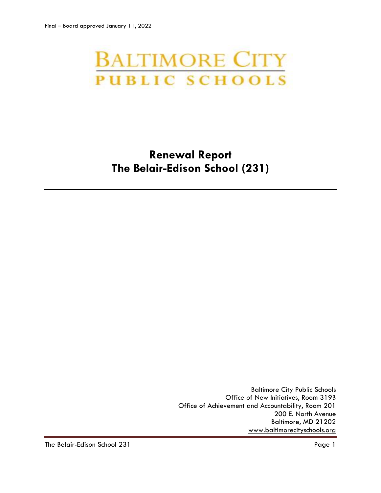# **BALTIMORE CITY PUBLIC SCHOOLS**

## **Renewal Report The Belair-Edison School (231)**

Baltimore City Public Schools Office of New Initiatives, Room 319B Office of Achievement and Accountability, Room 201 200 E. North Avenue Baltimore, MD 21202 [www.baltimorecityschools.org](http://www.baltimorecityschools.org/)

The Belair-Edison School 231 Page 1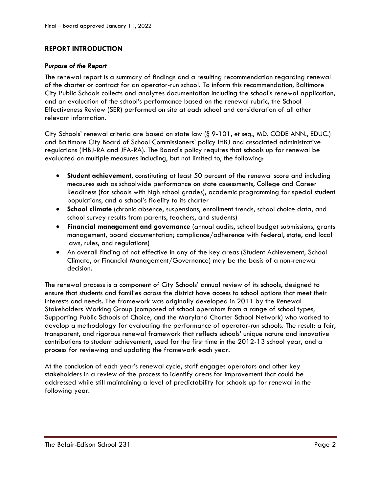#### **REPORT INTRODUCTION**

#### *Purpose of the Report*

The renewal report is a summary of findings and a resulting recommendation regarding renewal of the charter or contract for an operator-run school. To inform this recommendation, Baltimore City Public Schools collects and analyzes documentation including the school's renewal application, and an evaluation of the school's performance based on the renewal rubric, the School Effectiveness Review (SER) performed on site at each school and consideration of all other relevant information.

City Schools' renewal criteria are based on state law (§ 9-101, *et seq*., MD. CODE ANN., EDUC.) and Baltimore City Board of School Commissioners' policy IHBJ and associated administrative regulations (IHBJ-RA and JFA-RA). The Board's policy requires that schools up for renewal be evaluated on multiple measures including, but not limited to, the following:

- **Student achievement**, constituting at least 50 percent of the renewal score and including measures such as schoolwide performance on state assessments, College and Career Readiness (for schools with high school grades), academic programming for special student populations, and a school's fidelity to its charter
- **School climate** (chronic absence, suspensions, enrollment trends, school choice data, and school survey results from parents, teachers, and students)
- **Financial management and governance** (annual audits, school budget submissions, grants management, board documentation; compliance/adherence with federal, state, and local laws, rules, and regulations)
- An overall finding of not effective in any of the key areas (Student Achievement, School Climate, or Financial Management/Governance) may be the basis of a non-renewal decision.

The renewal process is a component of City Schools' annual review of its schools, designed to ensure that students and families across the district have access to school options that meet their interests and needs. The framework was originally developed in 2011 by the Renewal Stakeholders Working Group (composed of school operators from a range of school types, Supporting Public Schools of Choice, and the Maryland Charter School Network) who worked to develop a methodology for evaluating the performance of operator-run schools. The result: a fair, transparent, and rigorous renewal framework that reflects schools' unique nature and innovative contributions to student achievement, used for the first time in the 2012-13 school year, and a process for reviewing and updating the framework each year.

At the conclusion of each year's renewal cycle, staff engages operators and other key stakeholders in a review of the process to identify areas for improvement that could be addressed while still maintaining a level of predictability for schools up for renewal in the following year.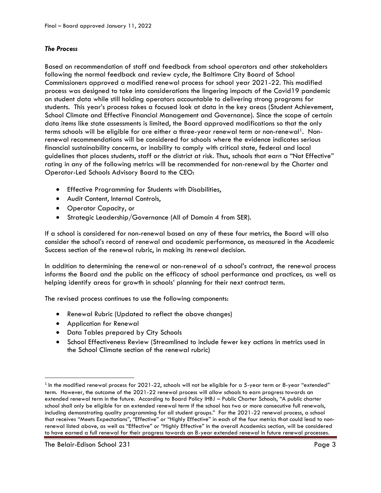#### *The Process*

Based on recommendation of staff and feedback from school operators and other stakeholders following the normal feedback and review cycle, the Baltimore City Board of School Commissioners approved a modified renewal process for school year 2021-22. This modified process was designed to take into considerations the lingering impacts of the Covid19 pandemic on student data while still holding operators accountable to delivering strong programs for students. This year's process takes a focused look at data in the key areas (Student Achievement, School Climate and Effective Financial Management and Governance). Since the scope of certain data items like state assessments is limited, the Board approved modifications so that the only terms schools will be eligible for are either a three-year renewal term or non-renewal<sup>1</sup>. Nonrenewal recommendations will be considered for schools where the evidence indicates serious financial sustainability concerns, or inability to comply with critical state, federal and local guidelines that places students, staff or the district at risk. Thus, schools that earn a "Not Effective" rating in any of the following metrics will be recommended for non-renewal by the Charter and Operator-Led Schools Advisory Board to the CEO:

- Effective Programming for Students with Disabilities,
- Audit Content, Internal Controls,
- Operator Capacity, or
- Strategic Leadership/Governance (All of Domain 4 from SER).

If a school is considered for non-renewal based on any of these four metrics, the Board will also consider the school's record of renewal and academic performance, as measured in the Academic Success section of the renewal rubric, in making its renewal decision.

In addition to determining the renewal or non-renewal of a school's contract, the renewal process informs the Board and the public on the efficacy of school performance and practices, as well as helping identify areas for growth in schools' planning for their next contract term.

The revised process continues to use the following components:

- Renewal Rubric (Updated to reflect the above changes)
- Application for Renewal
- Data Tables prepared by City Schools
- School Effectiveness Review (Streamlined to include fewer key actions in metrics used in the School Climate section of the renewal rubric)

l

 $^{\rm 1}$  In the modified renewal process for 2021-22, schools will not be eligible for a 5-year term or 8-year "extended" term. However, the outcome of the 2021-22 renewal process will allow schools to earn progress towards an extended renewal term in the future. According to Board Policy IHBJ – Public Charter Schools, "A public charter school shall only be eligible for an extended renewal term if the school has two or more consecutive full renewals, including demonstrating quality programming for all student groups." For the 2021-22 renewal process, a school that receives "Meets Expectations", "Effective" or "Highly Effective" in each of the four metrics that could lead to nonrenewal listed above, as well as "Effective" or "Highly Effective" in the overall Academics section, will be considered to have earned a full renewal for their progress towards an 8-year extended renewal in future renewal processes.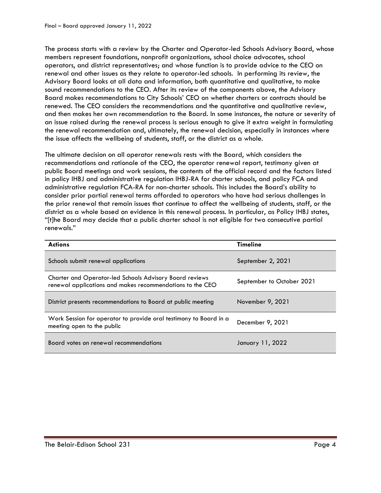The process starts with a review by the Charter and Operator-led Schools Advisory Board, whose members represent foundations, nonprofit organizations, school choice advocates, school operators, and district representatives; and whose function is to provide advice to the CEO on renewal and other issues as they relate to operator-led schools. In performing its review, the Advisory Board looks at all data and information, both quantitative and qualitative, to make sound recommendations to the CEO. After its review of the components above, the Advisory Board makes recommendations to City Schools' CEO on whether charters or contracts should be renewed. The CEO considers the recommendations and the quantitative and qualitative review, and then makes her own recommendation to the Board. In some instances, the nature or severity of an issue raised during the renewal process is serious enough to give it extra weight in formulating the renewal recommendation and, ultimately, the renewal decision, especially in instances where the issue affects the wellbeing of students, staff, or the district as a whole.

The ultimate decision on all operator renewals rests with the Board, which considers the recommendations and rationale of the CEO, the operator renewal report, testimony given at public Board meetings and work sessions, the contents of the official record and the factors listed in policy IHBJ and administrative regulation IHBJ-RA for charter schools, and policy FCA and administrative regulation FCA-RA for non-charter schools. This includes the Board's ability to consider prior partial renewal terms afforded to operators who have had serious challenges in the prior renewal that remain issues that continue to affect the wellbeing of students, staff, or the district as a whole based on evidence in this renewal process. In particular, as Policy IHBJ states, "[t]he Board may decide that a public charter school is not eligible for two consecutive partial renewals."

| <b>Actions</b>                                                                                                              | <b>Timeline</b>           |
|-----------------------------------------------------------------------------------------------------------------------------|---------------------------|
| Schools submit renewal applications                                                                                         | September 2, 2021         |
| <b>Charter and Operator-led Schools Advisory Board reviews</b><br>renewal applications and makes recommendations to the CEO | September to October 2021 |
| District presents recommendations to Board at public meeting                                                                | November 9, 2021          |
| Work Session for operator to provide oral testimony to Board in a<br>meeting open to the public                             | December 9, 2021          |
| Board votes on renewal recommendations                                                                                      | January 11, 2022          |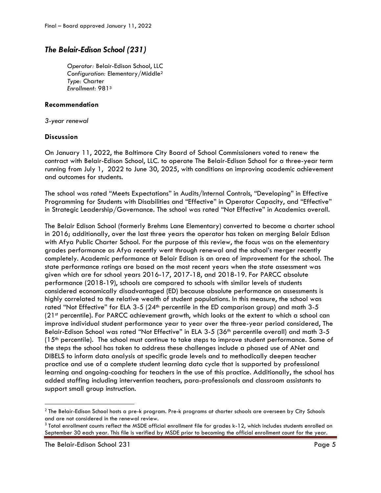### *The Belair-Edison School (231)*

*Operator:* Belair-Edison School, LLC *Configuration:* Elementary/Middle<sup>2</sup> *Type:* Charter *Enrollment:* 981<sup>3</sup>

#### **Recommendation**

*3-year renewal*

#### **Discussion**

On January 11, 2022, the Baltimore City Board of School Commissioners voted to renew the contract with Belair-Edison School, LLC. to operate The Belair-Edison School for a three-year term running from July 1, 2022 to June 30, 2025, with conditions on improving academic achievement and outcomes for students.

The school was rated "Meets Expectations" in Audits/Internal Controls, "Developing" in Effective Programming for Students with Disabilities and "Effective" in Operator Capacity, and "Effective" in Strategic Leadership/Governance. The school was rated "Not Effective" in Academics overall.

The Belair Edison School (formerly Brehms Lane Elementary) converted to become a charter school in 2016; additionally, over the last three years the operator has taken on merging Belair Edison with Afya Public Charter School. For the purpose of this review, the focus was on the elementary grades performance as Afya recently went through renewal and the school's merger recently completely. Academic performance at Belair Edison is an area of improvement for the school. The state performance ratings are based on the most recent years when the state assessment was given which are for school years 2016-17, 2017-18, and 2018-19. For PARCC absolute performance (2018-19), schools are compared to schools with similar levels of students considered economically disadvantaged (ED) because absolute performance on assessments is highly correlated to the relative wealth of student populations. In this measure, the school was rated "Not Effective" for ELA  $3-5$  ( $24<sup>th</sup>$  percentile in the ED comparison group) and math  $3-5$ (21st percentile). For PARCC achievement growth, which looks at the extent to which a school can improve individual student performance year to year over the three-year period considered, The Belair-Edison School was rated "Not Effective" in ELA 3-5 (36th percentile overall) and math 3-5  $(15<sup>th</sup>$  percentile). The school must continue to take steps to improve student performance. Some of the steps the school has taken to address these challenges include a phased use of ANet and DIBELS to inform data analysis at specific grade levels and to methodically deepen teacher practice and use of a complete student learning data cycle that is supported by professional learning and ongoing-coaching for teachers in the use of this practice. Additionally, the school has added staffing including intervention teachers, para-professionals and classroom assistants to support small group instruction.

 $\overline{\phantom{a}}$ 

 $^2$  The Belair-Edison School hosts a pre-k program. Pre-k programs at charter schools are overseen by City Schools and are not considered in the renewal review.

 $^3$  Total enrollment counts reflect the MSDE official enrollment file for grades k-12, which includes students enrolled on September 30 each year. This file is verified by MSDE prior to becoming the official enrollment count for the year.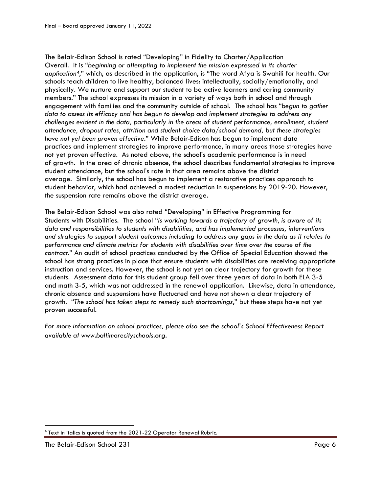The Belair-Edison School is rated "Developing" in Fidelity to Charter/Application Overall. It is "*beginning or attempting to implement the mission expressed in its charter application4*," which, as described in the application, is "The word Afya is Swahili for health. Our schools teach children to live healthy, balanced lives: intellectually, socially/emotionally, and physically. We nurture and support our student to be active learners and caring community members." The school expresses its mission in a variety of ways both in school and through engagement with families and the community outside of school. The school has "*begun to gather data to assess its efficacy and has begun to develop and implement strategies to address any challenges evident in the data, particularly in the areas of student performance, enrollment, student attendance, dropout rates, attrition and student choice data/school demand, but these strategies have not yet been proven effective*." While Belair-Edison has begun to implement data practices and implement strategies to improve performance, in many areas those strategies have not yet proven effective. As noted above, the school's academic performance is in need of growth. In the area of chronic absence, the school describes fundamental strategies to improve student attendance, but the school's rate in that area remains above the district average. Similarly, the school has begun to implement a restorative practices approach to student behavior, which had achieved a modest reduction in suspensions by 2019-20. However, the suspension rate remains above the district average.

The Belair-Edison School was also rated "Developing" in Effective Programming for Students with Disabilities. The school "*is working towards a trajectory of growth, is aware of its data and responsibilities to students with disabilities, and has implemented processes, interventions and strategies to support student outcomes including to address any gaps in the data as it relates to performance and climate metrics for students with disabilities over time over the course of the contract*." An audit of school practices conducted by the Office of Special Education showed the school has strong practices in place that ensure students with disabilities are receiving appropriate instruction and services. However, the school is not yet on clear trajectory for growth for these students. Assessment data for this student group fell over three years of data in both ELA 3-5 and math 3-5, which was not addressed in the renewal application. Likewise, data in attendance, chronic absence and suspensions have fluctuated and have not shown a clear trajectory of growth. "*The school has taken steps to remedy such shortcomings*," but these steps have not yet proven successful.

*For more information on school practices, please also see the school's School Effectiveness Report available at www.baltimorecityschools.org.*

 $\overline{\phantom{a}}$ 

 $4$  Text in italics is quoted from the 2021-22 Operator Renewal Rubric.

The Belair-Edison School 231 Page 6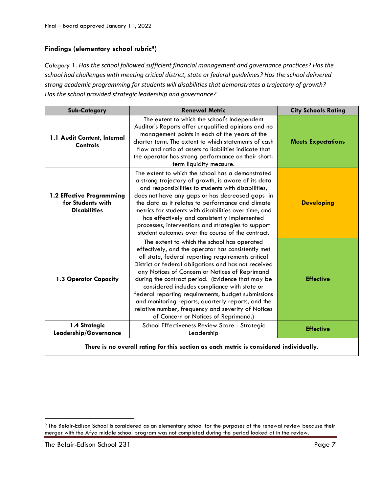#### **Findings (elementary school rubric5)**

*Category 1. Has the school followed sufficient financial management and governance practices? Has the school had challenges with meeting critical district, state or federal guidelines? Has the school delivered strong academic programming for students will disabilities that demonstrates a trajectory of growth? Has the school provided strategic leadership and governance?*

| <b>Sub-Category</b>                                                              | <b>Renewal Metric</b>                                                                                                                                                                                                                                                                                                                                                                                                                                                                                                                                                            | <b>City Schools Rating</b> |
|----------------------------------------------------------------------------------|----------------------------------------------------------------------------------------------------------------------------------------------------------------------------------------------------------------------------------------------------------------------------------------------------------------------------------------------------------------------------------------------------------------------------------------------------------------------------------------------------------------------------------------------------------------------------------|----------------------------|
| 1.1 Audit Content, Internal<br>Controls                                          | The extent to which the school's Independent<br>Auditor's Reports offer unqualified opinions and no<br>management points in each of the years of the<br>charter term. The extent to which statements of cash<br>flow and ratio of assets to liabilities indicate that<br>the operator has strong performance on their short-<br>term liquidity measure.                                                                                                                                                                                                                          | <b>Meets Expectations</b>  |
| 1.2 Effective Programming<br>for Students with<br><b>Disabilities</b>            | The extent to which the school has a demonstrated<br>a strong trajectory of growth, is aware of its data<br>and responsibilities to students with disabilities,<br>does not have any gaps or has decreased gaps in<br>the data as it relates to performance and climate<br>metrics for students with disabilities over time, and<br>has effectively and consistently implemented<br>processes, interventions and strategies to support<br>student outcomes over the course of the contract.                                                                                      | <b>Developing</b>          |
| 1.3 Operator Capacity                                                            | The extent to which the school has operated<br>effectively, and the operator has consistently met<br>all state, federal reporting requirements critical<br>District or federal obligations and has not received<br>any Notices of Concern or Notices of Reprimand<br>during the contract period. (Evidence that may be<br>considered includes compliance with state or<br>federal reporting requirements, budget submissions<br>and monitoring reports, quarterly reports, and the<br>relative number, frequency and severity of Notices<br>of Concern or Notices of Reprimand.) | <b>Effective</b>           |
| 1.4 Strategic<br>Leadership/Governance                                           | School Effectiveness Review Score - Strategic<br>Leadership                                                                                                                                                                                                                                                                                                                                                                                                                                                                                                                      | <b>Effective</b>           |
| ببالعبيلية والمواط المستليا ومستحي والماسا والمستحصر ومستلوم ومتلاسط ومستنسس الو |                                                                                                                                                                                                                                                                                                                                                                                                                                                                                                                                                                                  |                            |

**There is no overall rating for this section as each metric is considered individually.**

 $\overline{\phantom{a}}$ 

 $^5$  The Belair-Edison School is considered as an elementary school for the purposes of the renewal review because their merger with the Afya middle school program was not completed during the period looked at in the review.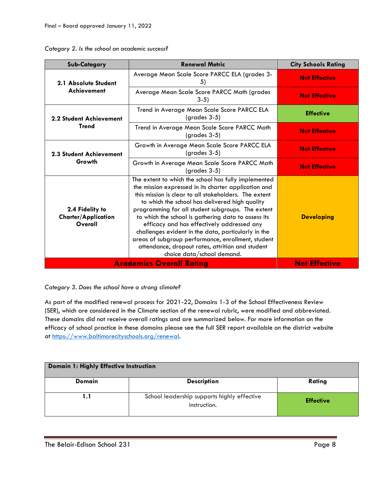| <b>Sub-Category</b>                                      | <b>Renewal Metric</b>                                                                                                                                                                                                                                                                                                                                                                                                                                                                                                                                                            | <b>City Schools Rating</b> |
|----------------------------------------------------------|----------------------------------------------------------------------------------------------------------------------------------------------------------------------------------------------------------------------------------------------------------------------------------------------------------------------------------------------------------------------------------------------------------------------------------------------------------------------------------------------------------------------------------------------------------------------------------|----------------------------|
| 2.1 Absolute Student<br><b>Achievement</b>               | Average Mean Scale Score PARCC ELA (grades 3-<br>5)                                                                                                                                                                                                                                                                                                                                                                                                                                                                                                                              | <b>Not Effective</b>       |
|                                                          | Average Mean Scale Score PARCC Math (grades<br>$3-5)$                                                                                                                                                                                                                                                                                                                                                                                                                                                                                                                            | <b>Not Effective</b>       |
| 2.2 Student Achievement<br><b>Trend</b>                  | Trend in Average Mean Scale Score PARCC ELA<br>(grades 3-5)                                                                                                                                                                                                                                                                                                                                                                                                                                                                                                                      | <b>Effective</b>           |
|                                                          | Trend in Average Mean Scale Score PARCC Math<br>(grades 3-5)                                                                                                                                                                                                                                                                                                                                                                                                                                                                                                                     | <b>Not Effective</b>       |
| <b>2.3 Student Achievement</b><br>Growth                 | Growth in Average Mean Scale Score PARCC ELA<br>(grades 3-5)                                                                                                                                                                                                                                                                                                                                                                                                                                                                                                                     | <b>Not Effective</b>       |
|                                                          | Growth in Average Mean Scale Score PARCC Math<br>$(q rades 3-5)$                                                                                                                                                                                                                                                                                                                                                                                                                                                                                                                 | <b>Not Effective</b>       |
| 2.4 Fidelity to<br><b>Charter/Application</b><br>Overall | The extent to which the school has fully implemented<br>the mission expressed in its charter application and<br>this mission is clear to all stakeholders. The extent<br>to which the school has delivered high quality<br>programming for all student subgroups. The extent<br>to which the school is gathering data to assess its<br>efficacy and has effectively addressed any<br>challenges evident in the data, particularly in the<br>areas of subgroup performance, enrollment, student<br>attendance, dropout rates, attrition and student<br>choice data/school demand. | <b>Developing</b>          |
|                                                          | <b>Academics Overall Rating</b>                                                                                                                                                                                                                                                                                                                                                                                                                                                                                                                                                  | <b>Not Effective</b>       |

*Category 2. Is the school an academic success?*

*Category 3. Does the school have a strong climate?*

As part of the modified renewal process for 2021-22, Domains 1-3 of the School Effectiveness Review (SER), which are considered in the Climate section of the renewal rubric, were modified and abbreviated. These domains did not receive overall ratings and are summarized below. For more information on the efficacy of school practice in these domains please see the full SER report available on the district website at [https://www.baltimorecityschools.org/r](https://www.baltimorecityschools.org/)enewal.

| <b>Domain 1: Highly Effective Instruction</b> |                                                             |                  |
|-----------------------------------------------|-------------------------------------------------------------|------------------|
| Domain                                        | <b>Description</b>                                          | Rating           |
| l.1                                           | School leadership supports highly effective<br>instruction. | <b>Effective</b> |